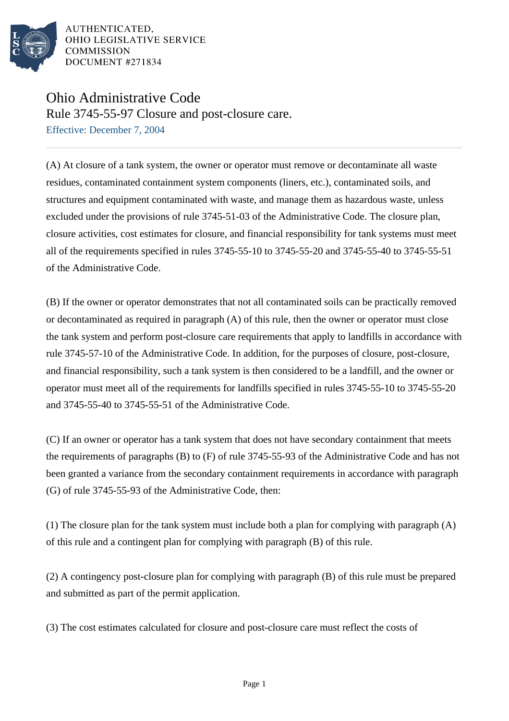

AUTHENTICATED. OHIO LEGISLATIVE SERVICE **COMMISSION** DOCUMENT #271834

## Ohio Administrative Code

Rule 3745-55-97 Closure and post-closure care.

Effective: December 7, 2004

(A) At closure of a tank system, the owner or operator must remove or decontaminate all waste residues, contaminated containment system components (liners, etc.), contaminated soils, and structures and equipment contaminated with waste, and manage them as hazardous waste, unless excluded under the provisions of rule 3745-51-03 of the Administrative Code. The closure plan, closure activities, cost estimates for closure, and financial responsibility for tank systems must meet all of the requirements specified in rules 3745-55-10 to 3745-55-20 and 3745-55-40 to 3745-55-51 of the Administrative Code.

(B) If the owner or operator demonstrates that not all contaminated soils can be practically removed or decontaminated as required in paragraph (A) of this rule, then the owner or operator must close the tank system and perform post-closure care requirements that apply to landfills in accordance with rule 3745-57-10 of the Administrative Code. In addition, for the purposes of closure, post-closure, and financial responsibility, such a tank system is then considered to be a landfill, and the owner or operator must meet all of the requirements for landfills specified in rules 3745-55-10 to 3745-55-20 and 3745-55-40 to 3745-55-51 of the Administrative Code.

(C) If an owner or operator has a tank system that does not have secondary containment that meets the requirements of paragraphs (B) to (F) of rule 3745-55-93 of the Administrative Code and has not been granted a variance from the secondary containment requirements in accordance with paragraph (G) of rule 3745-55-93 of the Administrative Code, then:

(1) The closure plan for the tank system must include both a plan for complying with paragraph (A) of this rule and a contingent plan for complying with paragraph (B) of this rule.

(2) A contingency post-closure plan for complying with paragraph (B) of this rule must be prepared and submitted as part of the permit application.

(3) The cost estimates calculated for closure and post-closure care must reflect the costs of